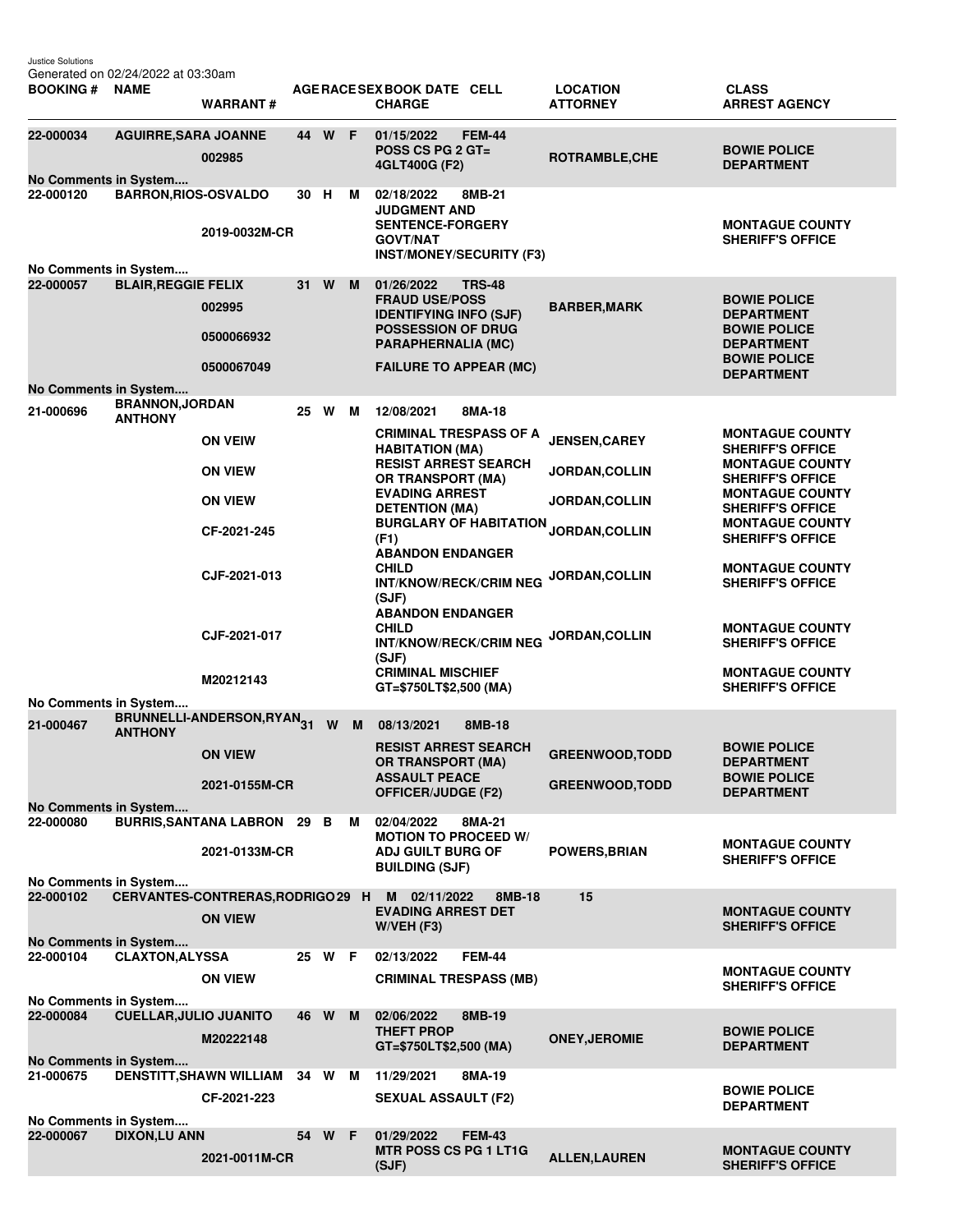| Justice Solutions<br><b>BOOKING#</b>      | Generated on 02/24/2022 at 03:30am<br><b>NAME</b> | <b>WARRANT#</b>                    |    |        |                                                         | AGE RACE SEX BOOK DATE CELL<br><b>CHARGE</b>                                      | <b>LOCATION</b><br><b>ATTORNEY</b>                | <b>CLASS</b><br><b>ARREST AGENCY</b>              |
|-------------------------------------------|---------------------------------------------------|------------------------------------|----|--------|---------------------------------------------------------|-----------------------------------------------------------------------------------|---------------------------------------------------|---------------------------------------------------|
| 22-000034                                 | <b>AGUIRRE, SARA JOANNE</b>                       | 002985                             | 44 | W F    |                                                         | 01/15/2022<br><b>FEM-44</b><br>POSS CS PG $2$ GT=<br>4GLT400G (F2)                | <b>ROTRAMBLE, CHE</b>                             | <b>BOWIE POLICE</b><br><b>DEPARTMENT</b>          |
| No Comments in System<br>22-000120        | <b>BARRON, RIOS-OSVALDO</b>                       | 2019-0032M-CR                      | 30 | н      | м                                                       | 02/18/2022<br>8MB-21<br><b>JUDGMENT AND</b><br><b>SENTENCE-FORGERY</b>            |                                                   | <b>MONTAGUE COUNTY</b>                            |
|                                           |                                                   |                                    |    |        |                                                         | <b>GOVT/NAT</b><br><b>INST/MONEY/SECURITY (F3)</b>                                |                                                   | <b>SHERIFF'S OFFICE</b>                           |
| No Comments in System<br>22-000057        | <b>BLAIR, REGGIE FELIX</b>                        |                                    | 31 | W      | M                                                       | 01/26/2022<br><b>TRS-48</b>                                                       |                                                   |                                                   |
|                                           |                                                   | 002995                             |    |        |                                                         | <b>FRAUD USE/POSS</b><br><b>IDENTIFYING INFO (SJF)</b>                            | <b>BARBER, MARK</b>                               | <b>BOWIE POLICE</b><br><b>DEPARTMENT</b>          |
|                                           |                                                   | 0500066932                         |    |        | <b>POSSESSION OF DRUG</b><br>PARAPHERNALIA (MC)         |                                                                                   | <b>BOWIE POLICE</b><br><b>DEPARTMENT</b>          |                                                   |
|                                           |                                                   | 0500067049                         |    |        |                                                         | <b>FAILURE TO APPEAR (MC)</b>                                                     |                                                   | <b>BOWIE POLICE</b><br><b>DEPARTMENT</b>          |
| <b>No Comments in System</b><br>21-000696 | <b>BRANNON, JORDAN</b><br><b>ANTHONY</b>          |                                    | 25 | W      | M                                                       | 12/08/2021<br>8MA-18                                                              |                                                   |                                                   |
|                                           |                                                   | <b>ON VEIW</b>                     |    |        |                                                         | <b>CRIMINAL TRESPASS OF A</b><br><b>HABITATION (MA)</b>                           | <b>JENSEN, CAREY</b>                              | <b>MONTAGUE COUNTY</b><br><b>SHERIFF'S OFFICE</b> |
|                                           |                                                   | <b>ON VIEW</b>                     |    |        | <b>RESIST ARREST SEARCH</b><br><b>OR TRANSPORT (MA)</b> | <b>JORDAN, COLLIN</b>                                                             | <b>MONTAGUE COUNTY</b><br><b>SHERIFF'S OFFICE</b> |                                                   |
|                                           |                                                   | <b>ON VIEW</b>                     |    |        | <b>EVADING ARREST</b><br><b>DETENTION (MA)</b>          | <b>JORDAN, COLLIN</b>                                                             | <b>MONTAGUE COUNTY</b><br><b>SHERIFF'S OFFICE</b> |                                                   |
|                                           |                                                   | CF-2021-245                        |    |        |                                                         | <b>BURGLARY OF HABITATION</b><br>(F1)<br><b>ABANDON ENDANGER</b>                  | JORDAN, COLLIN                                    | <b>MONTAGUE COUNTY</b><br><b>SHERIFF'S OFFICE</b> |
|                                           |                                                   | CJF-2021-013                       |    |        |                                                         | <b>CHILD</b><br>INT/KNOW/RECK/CRIM NEG<br>(SJF)                                   | <b>JORDAN, COLLIN</b>                             | <b>MONTAGUE COUNTY</b><br><b>SHERIFF'S OFFICE</b> |
|                                           |                                                   | CJF-2021-017                       |    |        |                                                         | <b>ABANDON ENDANGER</b><br><b>CHILD</b><br><b>INT/KNOW/RECK/CRIM NEG</b><br>(SJF) | JORDAN, COLLIN                                    | <b>MONTAGUE COUNTY</b><br><b>SHERIFF'S OFFICE</b> |
|                                           |                                                   | M20212143                          |    |        |                                                         | <b>CRIMINAL MISCHIEF</b><br>GT=\$750LT\$2,500 (MA)                                |                                                   | <b>MONTAGUE COUNTY</b><br><b>SHERIFF'S OFFICE</b> |
| No Comments in System<br>21-000467        |                                                   | BRUNNELLI-ANDERSON, RYAN31         |    | W      | M                                                       | 08/13/2021<br>8MB-18                                                              |                                                   |                                                   |
|                                           | <b>ANTHONY</b>                                    | <b>ON VIEW</b>                     |    |        |                                                         | <b>RESIST ARREST SEARCH</b><br><b>OR TRANSPORT (MA)</b>                           | <b>GREENWOOD, TODD</b>                            | <b>BOWIE POLICE</b><br><b>DEPARTMENT</b>          |
|                                           |                                                   | 2021-0155M-CR                      |    |        | <b>ASSAULT PEACE</b><br><b>OFFICER/JUDGE (F2)</b>       | <b>GREENWOOD, TODD</b>                                                            | <b>BOWIE POLICE</b><br><b>DEPARTMENT</b>          |                                                   |
| 22-000080                                 | No Comments in System                             | <b>BURRIS, SANTANA LABRON 29 B</b> |    |        | M                                                       | 02/04/2022<br>8MA-21<br><b>MOTION TO PROCEED W/</b>                               |                                                   |                                                   |
|                                           |                                                   | 2021-0133M-CR                      |    |        | <b>ADJ GUILT BURG OF</b><br><b>BUILDING (SJF)</b>       | <b>POWERS, BRIAN</b>                                                              | <b>MONTAGUE COUNTY</b><br><b>SHERIFF'S OFFICE</b> |                                                   |
| No Comments in System<br>22-000102        |                                                   | CERVANTES-CONTRERAS, RODRIGO 29 H  |    |        |                                                         | M<br>02/11/2022<br>8MB-18                                                         | 15                                                |                                                   |
| No Comments in System                     |                                                   | <b>ON VIEW</b>                     |    |        |                                                         | <b>EVADING ARREST DET</b><br>$W/VEH$ (F3)                                         |                                                   | <b>MONTAGUE COUNTY</b><br><b>SHERIFF'S OFFICE</b> |
| 22-000104                                 | <b>CLAXTON, ALYSSA</b>                            |                                    |    | 25 W F |                                                         | <b>FEM-44</b><br>02/13/2022                                                       |                                                   |                                                   |
|                                           |                                                   | <b>ON VIEW</b>                     |    |        |                                                         | <b>CRIMINAL TRESPASS (MB)</b>                                                     |                                                   | <b>MONTAGUE COUNTY</b><br><b>SHERIFF'S OFFICE</b> |
| No Comments in System<br>22-000084        | <b>CUELLAR, JULIO JUANITO</b>                     |                                    |    | 46 W M |                                                         | 02/06/2022<br>8MB-19                                                              |                                                   |                                                   |
| No Comments in System                     |                                                   | M20222148                          |    |        |                                                         | <b>THEFT PROP</b><br>GT=\$750LT\$2,500 (MA)                                       | <b>ONEY, JEROMIE</b>                              | <b>BOWIE POLICE</b><br><b>DEPARTMENT</b>          |
| 21-000675                                 |                                                   | DENSTITT, SHAWN WILLIAM            |    | 34 W M |                                                         | 11/29/2021<br>8MA-19                                                              |                                                   |                                                   |
| No Comments in System                     |                                                   | CF-2021-223                        |    |        |                                                         | <b>SEXUAL ASSAULT (F2)</b>                                                        |                                                   | <b>BOWIE POLICE</b><br><b>DEPARTMENT</b>          |
| 22-000067                                 | <b>DIXON,LU ANN</b>                               |                                    |    | 54 W F |                                                         | 01/29/2022<br><b>FEM-43</b><br><b>MTR POSS CS PG 1 LT1G</b>                       |                                                   | <b>MONTAGUE COUNTY</b>                            |
|                                           |                                                   | 2021-0011M-CR                      |    |        |                                                         | (SJF)                                                                             | <b>ALLEN, LAUREN</b>                              | <b>SHERIFF'S OFFICE</b>                           |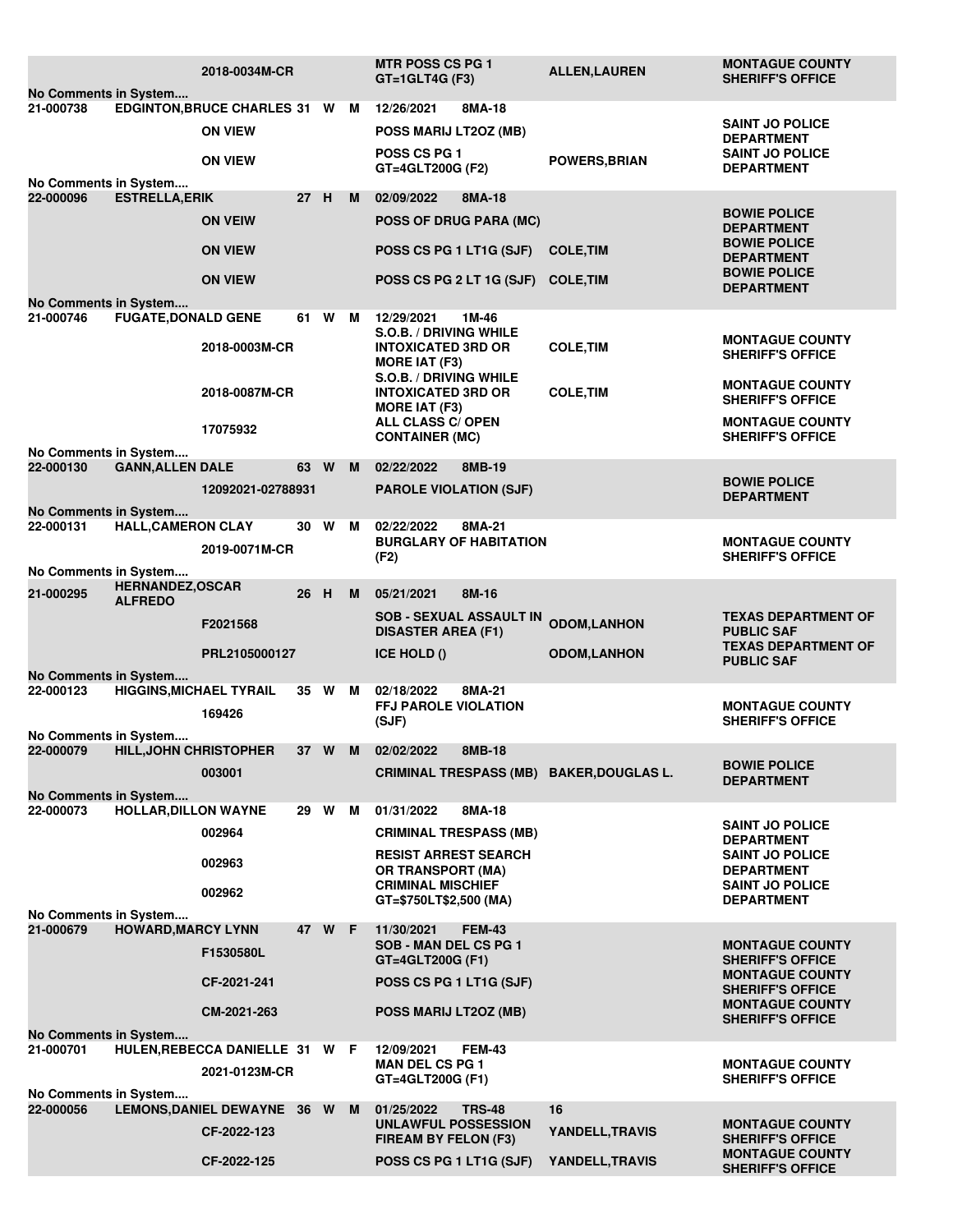|                                                                                              |                                | 2018-0034M-CR               |      |        |   | <b>MTR POSS CS PG 1</b><br>$GT = 1$ GLT4G (F3)             | <b>ALLEN, LAUREN</b> | <b>MONTAGUE COUNTY</b><br><b>SHERIFF'S OFFICE</b> |  |
|----------------------------------------------------------------------------------------------|--------------------------------|-----------------------------|------|--------|---|------------------------------------------------------------|----------------------|---------------------------------------------------|--|
| No Comments in System<br>21-000738<br>EDGINTON, BRUCE CHARLES 31 W M<br>8MA-18<br>12/26/2021 |                                |                             |      |        |   |                                                            |                      |                                                   |  |
|                                                                                              |                                | <b>ON VIEW</b>              |      |        |   |                                                            |                      | <b>SAINT JO POLICE</b>                            |  |
|                                                                                              |                                |                             |      |        |   | POSS MARIJ LT2OZ (MB)                                      |                      | <b>DEPARTMENT</b>                                 |  |
|                                                                                              |                                | <b>ON VIEW</b>              |      |        |   | <b>POSS CS PG 1</b>                                        | <b>POWERS, BRIAN</b> | <b>SAINT JO POLICE</b>                            |  |
| No Comments in System                                                                        |                                |                             |      |        |   | GT=4GLT200G (F2)                                           |                      | <b>DEPARTMENT</b>                                 |  |
| 22-000096                                                                                    | <b>ESTRELLA, ERIK</b>          |                             | 27 H |        | M | 02/09/2022<br>8MA-18                                       |                      |                                                   |  |
|                                                                                              |                                | <b>ON VEIW</b>              |      |        |   | <b>POSS OF DRUG PARA (MC)</b>                              |                      | <b>BOWIE POLICE</b>                               |  |
|                                                                                              |                                |                             |      |        |   |                                                            |                      | <b>DEPARTMENT</b>                                 |  |
|                                                                                              |                                | <b>ON VIEW</b>              |      |        |   | POSS CS PG 1 LT1G (SJF)                                    | <b>COLE, TIM</b>     | <b>BOWIE POLICE</b>                               |  |
|                                                                                              |                                |                             |      |        |   |                                                            |                      | <b>DEPARTMENT</b><br><b>BOWIE POLICE</b>          |  |
|                                                                                              |                                | <b>ON VIEW</b>              |      |        |   | POSS CS PG 2 LT 1G (SJF)                                   | <b>COLE, TIM</b>     | <b>DEPARTMENT</b>                                 |  |
| No Comments in System                                                                        |                                |                             |      |        |   |                                                            |                      |                                                   |  |
| 21-000746                                                                                    | <b>FUGATE, DONALD GENE</b>     |                             | 61 W |        | M | 12/29/2021<br>1M-46                                        |                      |                                                   |  |
|                                                                                              |                                | 2018-0003M-CR               |      |        |   | <b>S.O.B. / DRIVING WHILE</b><br><b>INTOXICATED 3RD OR</b> | <b>COLE, TIM</b>     | <b>MONTAGUE COUNTY</b>                            |  |
|                                                                                              |                                |                             |      |        |   | <b>MORE IAT (F3)</b>                                       |                      | <b>SHERIFF'S OFFICE</b>                           |  |
|                                                                                              |                                |                             |      |        |   | S.O.B. / DRIVING WHILE                                     |                      | <b>MONTAGUE COUNTY</b>                            |  |
|                                                                                              |                                | 2018-0087M-CR               |      |        |   | <b>INTOXICATED 3RD OR</b>                                  | <b>COLE, TIM</b>     | <b>SHERIFF'S OFFICE</b>                           |  |
|                                                                                              |                                |                             |      |        |   | <b>MORE IAT (F3)</b>                                       |                      |                                                   |  |
|                                                                                              |                                | 17075932                    |      |        |   | ALL CLASS C/ OPEN<br><b>CONTAINER (MC)</b>                 |                      | <b>MONTAGUE COUNTY</b><br><b>SHERIFF'S OFFICE</b> |  |
| No Comments in System                                                                        |                                |                             |      |        |   |                                                            |                      |                                                   |  |
| 22-000130                                                                                    | <b>GANN, ALLEN DALE</b>        |                             | 63 W |        | M | 02/22/2022<br>8MB-19                                       |                      |                                                   |  |
|                                                                                              |                                | 12092021-02788931           |      |        |   | <b>PAROLE VIOLATION (SJF)</b>                              |                      | <b>BOWIE POLICE</b>                               |  |
| No Comments in System                                                                        |                                |                             |      |        |   |                                                            |                      | <b>DEPARTMENT</b>                                 |  |
| 22-000131                                                                                    | <b>HALL, CAMERON CLAY</b>      |                             | 30 W |        | м | 02/22/2022<br>8MA-21                                       |                      |                                                   |  |
|                                                                                              |                                | 2019-0071M-CR               |      |        |   | <b>BURGLARY OF HABITATION</b>                              |                      | <b>MONTAGUE COUNTY</b>                            |  |
|                                                                                              |                                |                             |      |        |   | (F2)                                                       |                      | <b>SHERIFF'S OFFICE</b>                           |  |
| No Comments in System                                                                        | <b>HERNANDEZ,OSCAR</b>         |                             |      |        |   |                                                            |                      |                                                   |  |
| 21-000295                                                                                    | <b>ALFREDO</b>                 |                             | 26   | H      | м | 8M-16<br>05/21/2021                                        |                      |                                                   |  |
|                                                                                              |                                | F2021568                    |      |        |   | <b>SOB - SEXUAL ASSAULT IN</b>                             | <b>ODOM,LANHON</b>   | <b>TEXAS DEPARTMENT OF</b>                        |  |
|                                                                                              |                                |                             |      |        |   | <b>DISASTER AREA (F1)</b>                                  |                      | <b>PUBLIC SAF</b>                                 |  |
|                                                                                              |                                | PRL2105000127               |      |        |   | <b>ICE HOLD ()</b>                                         | <b>ODOM,LANHON</b>   | <b>TEXAS DEPARTMENT OF</b><br><b>PUBLIC SAF</b>   |  |
| No Comments in System                                                                        |                                |                             |      |        |   |                                                            |                      |                                                   |  |
| 22-000123                                                                                    | <b>HIGGINS, MICHAEL TYRAIL</b> |                             | 35 W |        | M | 02/18/2022<br>8MA-21                                       |                      |                                                   |  |
|                                                                                              |                                | 169426                      |      |        |   | <b>FFJ PAROLE VIOLATION</b>                                |                      | <b>MONTAGUE COUNTY</b>                            |  |
| No Comments in System                                                                        |                                |                             |      |        |   | (SJF)                                                      |                      | <b>SHERIFF'S OFFICE</b>                           |  |
| 22-000079                                                                                    | <b>HILL, JOHN CHRISTOPHER</b>  |                             | 37 W |        | M | 02/02/2022<br>8MB-18                                       |                      |                                                   |  |
|                                                                                              |                                | 003001                      |      |        |   | CRIMINAL TRESPASS (MB) BAKER, DOUGLAS L.                   |                      | <b>BOWIE POLICE</b>                               |  |
|                                                                                              |                                |                             |      |        |   |                                                            |                      | <b>DEPARTMENT</b>                                 |  |
| No Comments in System<br>22-000073                                                           | <b>HOLLAR, DILLON WAYNE</b>    |                             |      | 29 W M |   | 8MA-18<br>01/31/2022                                       |                      |                                                   |  |
|                                                                                              |                                |                             |      |        |   |                                                            |                      | <b>SAINT JO POLICE</b>                            |  |
|                                                                                              |                                | 002964                      |      |        |   | <b>CRIMINAL TRESPASS (MB)</b>                              |                      | <b>DEPARTMENT</b>                                 |  |
|                                                                                              |                                | 002963                      |      |        |   | <b>RESIST ARREST SEARCH</b>                                |                      | <b>SAINT JO POLICE</b>                            |  |
|                                                                                              |                                |                             |      |        |   | <b>OR TRANSPORT (MA)</b><br><b>CRIMINAL MISCHIEF</b>       |                      | <b>DEPARTMENT</b><br><b>SAINT JO POLICE</b>       |  |
|                                                                                              |                                | 002962                      |      |        |   | GT=\$750LT\$2,500 (MA)                                     |                      | <b>DEPARTMENT</b>                                 |  |
| No Comments in System                                                                        |                                |                             |      |        |   |                                                            |                      |                                                   |  |
| 21-000679                                                                                    | <b>HOWARD, MARCY LYNN</b>      |                             |      | 47 W F |   | 11/30/2021<br><b>FEM-43</b>                                |                      |                                                   |  |
|                                                                                              |                                | F1530580L                   |      |        |   | SOB - MAN DEL CS PG 1<br>GT=4GLT200G (F1)                  |                      | <b>MONTAGUE COUNTY</b><br><b>SHERIFF'S OFFICE</b> |  |
|                                                                                              |                                |                             |      |        |   |                                                            |                      | <b>MONTAGUE COUNTY</b>                            |  |
|                                                                                              |                                | CF-2021-241                 |      |        |   | POSS CS PG 1 LT1G (SJF)                                    |                      | <b>SHERIFF'S OFFICE</b>                           |  |
|                                                                                              |                                | CM-2021-263                 |      |        |   | POSS MARIJ LT2OZ (MB)                                      |                      | <b>MONTAGUE COUNTY</b>                            |  |
| No Comments in System                                                                        |                                |                             |      |        |   |                                                            |                      | <b>SHERIFF'S OFFICE</b>                           |  |
| 21-000701                                                                                    |                                | HULEN, REBECCA DANIELLE 31  |      | W F    |   | <b>FEM-43</b><br>12/09/2021                                |                      |                                                   |  |
|                                                                                              |                                | 2021-0123M-CR               |      |        |   | <b>MAN DEL CS PG 1</b>                                     |                      | <b>MONTAGUE COUNTY</b>                            |  |
|                                                                                              |                                |                             |      |        |   | GT=4GLT200G (F1)                                           |                      | <b>SHERIFF'S OFFICE</b>                           |  |
| No Comments in System<br>22-000056                                                           |                                | LEMONS, DANIEL DEWAYNE 36 W |      |        | M | 01/25/2022<br><b>TRS-48</b>                                | 16                   |                                                   |  |
|                                                                                              |                                |                             |      |        |   | UNLAWFUL POSSESSION                                        |                      | <b>MONTAGUE COUNTY</b>                            |  |
|                                                                                              |                                | CF-2022-123                 |      |        |   | <b>FIREAM BY FELON (F3)</b>                                | YANDELL, TRAVIS      | <b>SHERIFF'S OFFICE</b>                           |  |
|                                                                                              |                                | CF-2022-125                 |      |        |   | POSS CS PG 1 LT1G (SJF)                                    | YANDELL, TRAVIS      | <b>MONTAGUE COUNTY</b>                            |  |
|                                                                                              |                                |                             |      |        |   |                                                            |                      | <b>SHERIFF'S OFFICE</b>                           |  |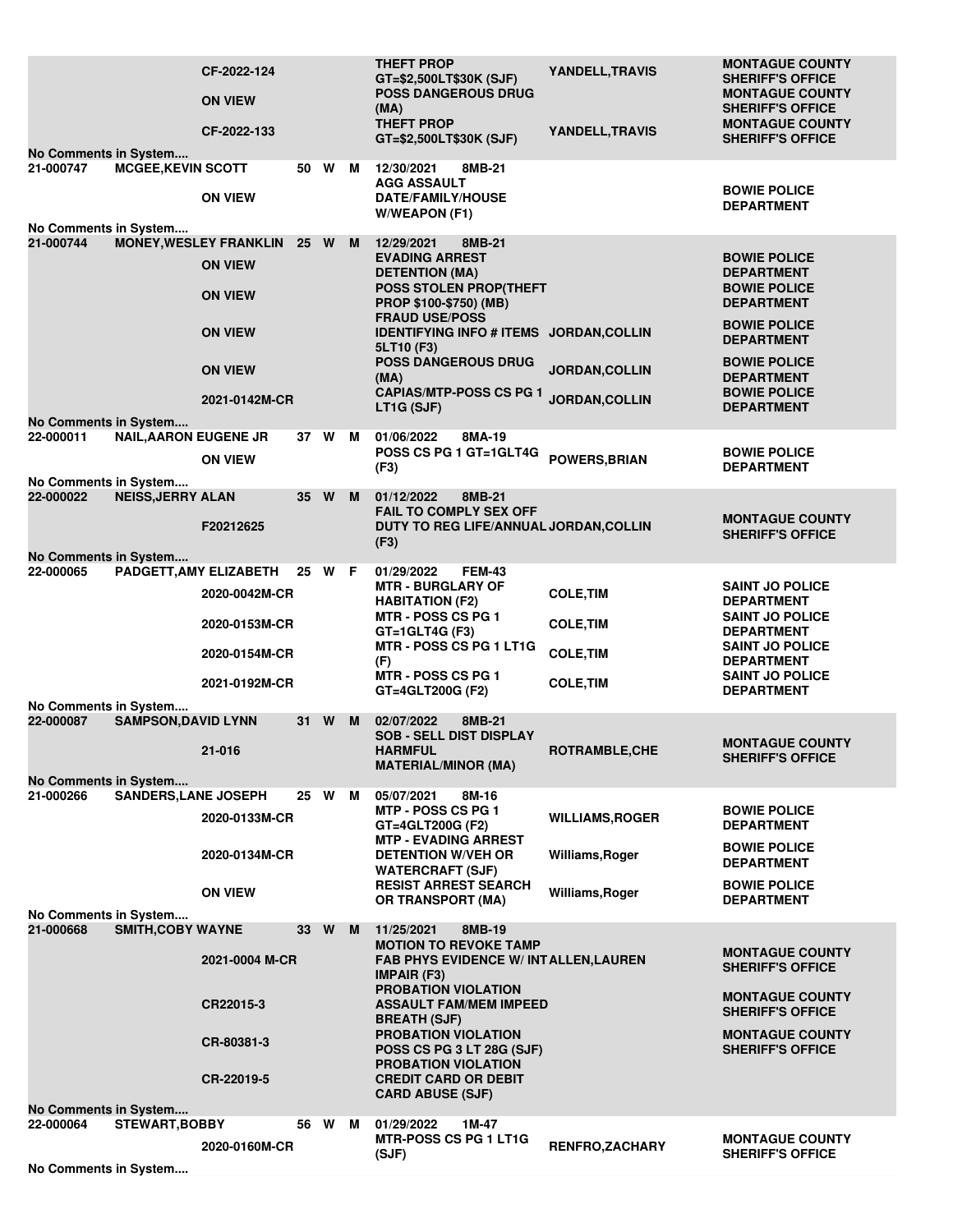| No Comments in System              |                              | CF-2022-124<br><b>ON VIEW</b><br>CF-2022-133                                                                           |      |        |   | <b>THEFT PROP</b><br>GT=\$2,500LT\$30K (SJF)<br><b>POSS DANGEROUS DRUG</b><br>(MA)<br><b>THEFT PROP</b><br>GT=\$2,500LT\$30K (SJF)                                                                                                                                                                        | YANDELL, TRAVIS<br>YANDELL, TRAVIS                       | <b>MONTAGUE COUNTY</b><br><b>SHERIFF'S OFFICE</b><br><b>MONTAGUE COUNTY</b><br><b>SHERIFF'S OFFICE</b><br><b>MONTAGUE COUNTY</b><br><b>SHERIFF'S OFFICE</b>                                                              |
|------------------------------------|------------------------------|------------------------------------------------------------------------------------------------------------------------|------|--------|---|-----------------------------------------------------------------------------------------------------------------------------------------------------------------------------------------------------------------------------------------------------------------------------------------------------------|----------------------------------------------------------|--------------------------------------------------------------------------------------------------------------------------------------------------------------------------------------------------------------------------|
| 21-000747                          | <b>MCGEE, KEVIN SCOTT</b>    | <b>ON VIEW</b>                                                                                                         |      | 50 W M |   | 12/30/2021<br>8MB-21<br><b>AGG ASSAULT</b><br><b>DATE/FAMILY/HOUSE</b><br><b>W/WEAPON (F1)</b>                                                                                                                                                                                                            |                                                          | <b>BOWIE POLICE</b><br><b>DEPARTMENT</b>                                                                                                                                                                                 |
| No Comments in System<br>21-000744 |                              | <b>MONEY, WESLEY FRANKLIN</b><br><b>ON VIEW</b><br><b>ON VIEW</b><br><b>ON VIEW</b><br><b>ON VIEW</b><br>2021-0142M-CR |      | 25 W M |   | 12/29/2021<br>8MB-21<br><b>EVADING ARREST</b><br><b>DETENTION (MA)</b><br><b>POSS STOLEN PROP(THEFT</b><br>PROP \$100-\$750) (MB)<br><b>FRAUD USE/POSS</b><br>IDENTIFYING INFO # ITEMS JORDAN, COLLIN<br>5LT10 (F3)<br><b>POSS DANGEROUS DRUG</b><br>(MA)<br><b>CAPIAS/MTP-POSS CS PG 1</b><br>LT1G (SJF) | <b>JORDAN, COLLIN</b><br>JORDAN, COLLIN                  | <b>BOWIE POLICE</b><br><b>DEPARTMENT</b><br><b>BOWIE POLICE</b><br><b>DEPARTMENT</b><br><b>BOWIE POLICE</b><br><b>DEPARTMENT</b><br><b>BOWIE POLICE</b><br><b>DEPARTMENT</b><br><b>BOWIE POLICE</b><br><b>DEPARTMENT</b> |
| No Comments in System<br>22-000011 | <b>NAIL, AARON EUGENE JR</b> |                                                                                                                        |      | 37 W M |   | 8MA-19<br>01/06/2022                                                                                                                                                                                                                                                                                      |                                                          |                                                                                                                                                                                                                          |
| No Comments in System              |                              | <b>ON VIEW</b>                                                                                                         |      |        |   | POSS CS PG 1 GT=1GLT4G<br>(F3)                                                                                                                                                                                                                                                                            | POWERS, BRIAN                                            | <b>BOWIE POLICE</b><br><b>DEPARTMENT</b>                                                                                                                                                                                 |
| 22-000022<br>No Comments in System | <b>NEISS, JERRY ALAN</b>     | F20212625                                                                                                              |      | 35 W   | M | 01/12/2022<br>8MB-21<br><b>FAIL TO COMPLY SEX OFF</b><br>DUTY TO REG LIFE/ANNUAL JORDAN, COLLIN<br>(F3)                                                                                                                                                                                                   |                                                          | <b>MONTAGUE COUNTY</b><br><b>SHERIFF'S OFFICE</b>                                                                                                                                                                        |
| 22-000065                          |                              | PADGETT, AMY ELIZABETH                                                                                                 |      | 25 W F |   | 01/29/2022<br><b>FEM-43</b>                                                                                                                                                                                                                                                                               |                                                          |                                                                                                                                                                                                                          |
|                                    |                              | 2020-0042M-CR<br>2020-0153M-CR                                                                                         |      |        |   | <b>MTR - BURGLARY OF</b><br><b>HABITATION (F2)</b><br><b>MTR - POSS CS PG 1</b><br>$GT = 1$ GLT4G (F3)<br>MTR - POSS CS PG 1 LT1G                                                                                                                                                                         | <b>COLE, TIM</b><br><b>COLE, TIM</b><br><b>COLE, TIM</b> | <b>SAINT JO POLICE</b><br><b>DEPARTMENT</b><br><b>SAINT JO POLICE</b><br><b>DEPARTMENT</b><br><b>SAINT JO POLICE</b>                                                                                                     |
|                                    |                              | 2020-0154M-CR<br>2021-0192M-CR                                                                                         |      |        |   | (F)<br><b>MTR - POSS CS PG 1</b><br>GT=4GLT200G (F2)                                                                                                                                                                                                                                                      | <b>COLE, TIM</b>                                         | <b>DEPARTMENT</b><br><b>SAINT JO POLICE</b><br><b>DEPARTMENT</b>                                                                                                                                                         |
| No Comments in System<br>22-000087 | <b>SAMPSON, DAVID LYNN</b>   |                                                                                                                        | 31 W |        | M | 02/07/2022<br>8MB-21                                                                                                                                                                                                                                                                                      |                                                          |                                                                                                                                                                                                                          |
| No Comments in System              |                              | 21-016                                                                                                                 |      |        |   | <b>SOB - SELL DIST DISPLAY</b><br><b>HARMFUL</b><br><b>MATERIAL/MINOR (MA)</b>                                                                                                                                                                                                                            | ROTRAMBLE, CHE                                           | <b>MONTAGUE COUNTY</b><br><b>SHERIFF'S OFFICE</b>                                                                                                                                                                        |
| 21-000266                          | <b>SANDERS, LANE JOSEPH</b>  |                                                                                                                        |      | 25 W M |   | 05/07/2021<br>8M-16<br><b>MTP - POSS CS PG 1</b>                                                                                                                                                                                                                                                          |                                                          | <b>BOWIE POLICE</b>                                                                                                                                                                                                      |
|                                    |                              | 2020-0133M-CR                                                                                                          |      |        |   | GT=4GLT200G (F2)<br><b>MTP - EVADING ARREST</b>                                                                                                                                                                                                                                                           | <b>WILLIAMS, ROGER</b>                                   | <b>DEPARTMENT</b><br><b>BOWIE POLICE</b>                                                                                                                                                                                 |
|                                    |                              | 2020-0134M-CR                                                                                                          |      |        |   | <b>DETENTION W/VEH OR</b><br><b>WATERCRAFT (SJF)</b><br><b>RESIST ARREST SEARCH</b>                                                                                                                                                                                                                       | Williams, Roger                                          | <b>DEPARTMENT</b><br><b>BOWIE POLICE</b>                                                                                                                                                                                 |
| No Comments in System              |                              | <b>ON VIEW</b>                                                                                                         |      |        |   | <b>OR TRANSPORT (MA)</b>                                                                                                                                                                                                                                                                                  | Williams, Roger                                          | <b>DEPARTMENT</b>                                                                                                                                                                                                        |
| 21-000668                          | <b>SMITH, COBY WAYNE</b>     |                                                                                                                        | 33 W |        | M | 11/25/2021<br>8MB-19                                                                                                                                                                                                                                                                                      |                                                          |                                                                                                                                                                                                                          |
|                                    |                              | 2021-0004 M-CR                                                                                                         |      |        |   | <b>MOTION TO REVOKE TAMP</b><br><b>FAB PHYS EVIDENCE W/ INTALLEN, LAUREN</b><br><b>IMPAIR (F3)</b><br>PROBATION VIOLATION                                                                                                                                                                                 |                                                          | <b>MONTAGUE COUNTY</b><br><b>SHERIFF'S OFFICE</b>                                                                                                                                                                        |
|                                    |                              | CR22015-3                                                                                                              |      |        |   | <b>ASSAULT FAM/MEM IMPEED</b><br><b>BREATH (SJF)</b>                                                                                                                                                                                                                                                      |                                                          | <b>MONTAGUE COUNTY</b><br><b>SHERIFF'S OFFICE</b>                                                                                                                                                                        |
|                                    |                              | CR-80381-3<br>CR-22019-5                                                                                               |      |        |   | <b>PROBATION VIOLATION</b><br>POSS CS PG 3 LT 28G (SJF)<br><b>PROBATION VIOLATION</b><br><b>CREDIT CARD OR DEBIT</b>                                                                                                                                                                                      |                                                          | <b>MONTAGUE COUNTY</b><br><b>SHERIFF'S OFFICE</b>                                                                                                                                                                        |
| No Comments in System              |                              |                                                                                                                        |      |        |   | <b>CARD ABUSE (SJF)</b>                                                                                                                                                                                                                                                                                   |                                                          |                                                                                                                                                                                                                          |
| 22-000064                          | <b>STEWART, BOBBY</b>        |                                                                                                                        |      | 56 W   | M | 01/29/2022<br>1M-47                                                                                                                                                                                                                                                                                       |                                                          |                                                                                                                                                                                                                          |
|                                    |                              | 2020-0160M-CR                                                                                                          |      |        |   | <b>MTR-POSS CS PG 1 LT1G</b><br>(SJF)                                                                                                                                                                                                                                                                     | <b>RENFRO,ZACHARY</b>                                    | <b>MONTAGUE COUNTY</b><br><b>SHERIFF'S OFFICE</b>                                                                                                                                                                        |
| No Comments in System              |                              |                                                                                                                        |      |        |   |                                                                                                                                                                                                                                                                                                           |                                                          |                                                                                                                                                                                                                          |